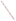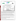

# **ETV Joint Verification Statement**

|                                      | <b>TECHNOLOGY TYPE: ON-LINE TURBIDIMETER</b>                                         |  |                     |
|--------------------------------------|--------------------------------------------------------------------------------------|--|---------------------|
| <b>APPLICATION:</b>                  | <b>MEASURING LOW TURBIDITY LEVELS</b>                                                |  |                     |
|                                      | <b>TECHNOLOGY NAME: CUS 31-W On-Line Turbidimeter</b>                                |  |                     |
| <b>COMPANY:</b>                      | Endress + Hauser Conducta GmbH + Co., Division USA                                   |  |                     |
| <b>ADDRESS:</b>                      | 2350 Endress Place                                                                   |  | PHONE: 317-535-7138 |
| <b>WEB SITE:</b><br>$E\text{-}MAIL:$ | Greenwood, Indiana 46143 FAX:<br>www.us.endress.com/<br>Marc.Buttmann@us.endress.com |  | 317-535-8498        |
|                                      | Hermann.Straub@conducta.endress.com                                                  |  |                     |

The U.S. Environmental Protection Agency (EPA) has created the Environmental Technology Verification (ETV) Program to facilitate the deployment of innovative or improved environmental technologies through performance verification and dissemination of information. The goal of the ETV Program is to further environmental protection by substantially accelerating the acceptance and use of improved and cost-effective technologies. ETV seeks to achieve this goal by providing high quality, peer-reviewed data on technology performance to those involved in the design, distribution, financing, permitting, purchase, and use of environmental technologies.

ETV works in partnership with recognized standards and testing organizations; stakeholder groups which consist of buyers, vendor organizations, and permitters; and with the full participation of individual technology developers. The program evaluates the performance of innovative technologies by developing test plans that are responsive to the needs of stakeholders, conducting field or laboratory tests (as appropriate), collecting and analyzing data, and preparing peer-reviewed reports. All evaluations are conducted in accordance with rigorous quality assurance protocols to ensure that data of known and adequate quality are generated and that the results are defensible.

The Advanced Monitoring Systems (AMS) program, one of 12 technology areas under ETV, is operated by Battelle in cooperation with EPA's National Exposure Research Laboratory. AMS has recently evaluated the performance of on-line turbidimeters for use in water treatment facilities. This verification statement provides a summary of the test results for the Liquisys CUS 31-W on-line turbidimeter.

## **VERIFICATION TEST DESCRIPTION**

The verification test described in this report was conducted by Battelle in the fall of 1999 on commercial on-line turbidimeters at the City of Columbus Water Division's Dublin Road Water Plant in Columbus, Ohio. The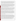verification test was conducted in two phases. An off-line phase challenged the turbidimeters with a series of prepared standards and other test solutions under controlled conditions, whereas an on-line phase assessed longterm performance under realistic conditions by monitoring a sample stream in a municipal water treatment plant. The on-line phase was intended to evaluate performance in continuous unattended monitoring over a low range of turbidity [i.e., 0.1 to 1 nephelometric turbidity unit (NTU)]. No attempt was made to determine the ultimate detection limits of the turbidimeters tested, which other studies have shown can be as low as 0.01 NTU.

In the off-line phase of testing, the linearity, accuracy, and precision of the Liquisys CUS 31-W turbidimeter were determined by comparing turbidity measurements on formazin solutions to reference measurements of the same solutions. By intentionally varying the water temperature, flow rate, and color of the sample solution, the effect of these parameters on the response of the Liquisys CUS 31-W turbidimeter was determined. In the on-line phase, a sample stream from a municipal water plant was continuously monitored by the Liquisys CUS 31-W turbidimeter for approximately four weeks. Results from this phase of testing were used to determine the accuracy in measuring real-world samples and the drift characteristics of the Liquisys CUS 31-W. Quality assurance (QA) oversight of verification testing was provided by independent Battelle QA staff, who conducted a technical systems audit, and a data audit on 10 percent of the test data.

The verification test relied upon two reference methods: ISO 7027, "Water Quality—Determination of Turbidity," and EPA Method 180.1, "Determination of Turbidity by Nephelometry." The Liquisys CUS 31-W turbidimeter is designed to conform to ISO 7027 requirements, and thus comparison of Liquisys CUS 31-W results to those from the ISO 7027 reference method was the primary means of verification. EPA Method 180.1 uses a different wavelength of light than the CUS 31-W (i.e., visible rather than infrared), and thus is not a directly equivalent method. However, EPA Method 180.1 is widely recognized in the U.S. by virtue of its status as one of the required methods for drinking water compliance measurements. Consequently, comparisons of the CUS 31-W results to Method 180.1 results were also made, and are presented as a secondary illustration of performance.

A cautionary note is in order regarding the verification test results. The Liquisys CUS 31-W turbidimeter was supplied for testing without a transformer to allow operation on 110V AC power. A commercial transformer was purchased instead for use in the verification testing. However, during the verification test, that transformer was found to cause substantial noise in the output signal of the Liquisys CUS 31-W (i.e., a periodic oscillation with a peak-to-peak amplitude of about 0.07 NTU and a period of about 2.5 minutes). Unfortunately, the proper transformer was not available until the verification tests were nearly completed, and it was not feasible to repeat the entire verification test. As a result, the Liquisys CUS 31-W operated throughout this verification test with a lessthan-optimal power supply system. The exact impact of this occurrence on verification results is unclear, but it is reasonable to view the performance reported here as being a worst-case result for the Liquisys CUS 31-W.

## **TECHNOLOGY DESCRIPTION**

The basic Liquisys CUS 31-W on-line turbidimeter, manufactured by Endress + Hauser, has a four-wire transmitter that provides measuring and alarm signaling functions in water/waste water applications. The sensor and transmitter are separate devices. The transmitter can be equipped with additional software and hardware modules for specific applications. The Liquisys CUS 31-W sensor uses the 90-degree scattered light method in the near-infrared range to measure turbidity. The sensor wiper has an adjustable cycle time from 1 to 999 seconds, and an adjustable interval time from 1 to 7,200 minutes, as well as an OFF state. The nominal operating temperature range is  $-5$  to  $+50^{\circ}$ C. In addition to turbidity, a temperature measurement signal is detected and transmitted. The Liquisys CUS 31-W turbidity range is 0 to 9999 NTU. Selectable units also include ppm, g/L, %, or % SS. The control unit has a two-line display that indicates the measured value and temperature at the same time. The Liquisys CUS 31-W turbidimeter's measuring wavelength is 880 nm, and the unit comes in a field or panelmounted housing. The sensor is factory calibrated, and an alarm indicates calibration errors. An on-site recalibration of the zero point based on a reference measurement can also be performed. Cleaning is automatically initiated in case of an alarm or limit violation. Up to four contacts can be used as limit contacts.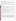### **VERIFICATION OF PERFORMANCE**

The following are summaries of key performance characteristics of the Liquisys CUS 31-W as verified by comparison to the ISO 7027 reference method. Secondary illustrations of performance relative to the EPA 180.1 method are also shown in the body of the report, and generally showed similar performance to that found in the verification comparisons.

As described above under Verification Test Description, the power transformer used with the CUS 31-W caused a periodic fluctuation in the output signal, with an amplitude of about 0.07 NTU. Thus these verification results were obtained under less than optimal conditions for operation of the CUS 31-W and should be considered worstcase results.

#### **Off-Line Testing**

**Linearity:** The Liquisys CUS 31-W responded linearly to turbidity in the tested range from 0.3 to 5 NTU. The slope of the response line for the Liquisys CUS 31-W turbidimeter was 1.06 relative to the ISO 7027 reference turbidimeter, with an  $r^2$  value of 0.9996, and an intercept of 0.09 NTU.

**Accuracy:** In measuring standard formazin solutions, the Liquisys CUS 31-W turbidimeter showed a positive bias relative to the ISO 7027 reference turbidimeter throughout the range from 0.3 to 5 NTU. The bias ranged from about 30% at 0.3 NTU to 7.6% at 5 NTU.

**Precision:** The Liquisys CUS 31-W exhibited comparable precision to that of the ISO 7027 reference turbidimeter over the turbidity range of 0.3 to 5 NTU measured in this verification test. The CUS 31-W precision ranged from 4.7% relative standard deviation (RSD) at 0.3 NTU to 0.7% RSD at 5 NTU.

**Water Temperature Effects:** At 0.3 NTU, increasing water temperature produced a decrease in CUS 31-W turbidity readings of 1.7% per degree C, relative to the ISO 7027 reference measurement. At 5 NTU, there was no statistically significant relation between turbidity readings and water temperature.

**Flow Rate:** The Liquisys CUS 31-W turbidimeter exhibited a decrease in turbidity readings with increasing flow rate of 9.1% per gpm, in the flow range of 0.45 to 1.8 gpm.

**Color:** At 5 NTU color had no significant effect on the response of the Liquisys CUS 31-W turbidimeter. At ~0.1 NTU, increasing color intensity caused an increase in the turbidity reading of ~0.5% per CU, relative to the reference turbidimeter.

## **On-Line Testing**

**Accuracy:** In reading the turbidity of treated, unfiltered water from a municipal drinking water plant, the Liquisys CUS 31-W turbidimeter consistently read higher than the ISO 7027 reference turbidimeter. The difference was observed over much of the four weeks of measurement of the water plant sample stream and was typically between 0.1 and 0.3 NTU. (A similar positive bias was observed with all the turbidimeters tested, possibly indicating a systematic bias in the reference turbidimeter readings on the plant water stream.). Calibration checks of the Liquisys CUS 31-W turbidimeter performed throughout the four weeks of on-line testing also indicated a positive bias with respect to the reference turbidimeter in reading a 0.5 NTU formazin solution. This bias ranged from 0.06 to 0.19 NTU, equivalent to about 12 to 35% of the corresponding reference turbidimeter readings.